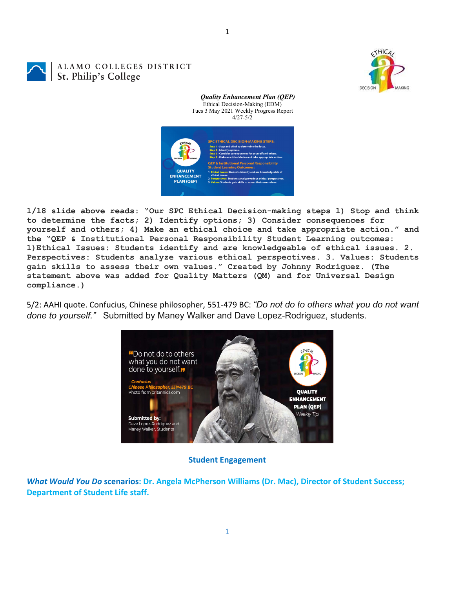**CTHIC** DECISION



ALAMO COLLEGES DISTRICT St. Philip's College



*Quality Enhancement Plan (QEP)*

**1/18 slide above reads: "Our SPC Ethical Decision-making steps 1) Stop and think to determine the facts; 2) Identify options; 3) Consider consequences for yourself and others; 4) Make an ethical choice and take appropriate action." and the "QEP & Institutional Personal Responsibility Student Learning outcomes: 1)Ethical Issues: Students identify and are knowledgeable of ethical issues. 2. Perspectives: Students analyze various ethical perspectives. 3. Values: Students gain skills to assess their own values." Created by Johnny Rodriguez. (The statement above was added for Quality Matters (QM) and for Universal Design compliance.)**

5/2: AAHI quote. Confucius, Chinese philosopher, 551‐479 BC: *"Do not do to others what you do not want done to yourself."* Submitted by Maney Walker and Dave Lopez-Rodriguez, students.



### **Student Engagement**

*What Would You Do* **scenarios: Dr. Angela McPherson Williams (Dr. Mac), Director of Student Success; Department of Student Life staff.**